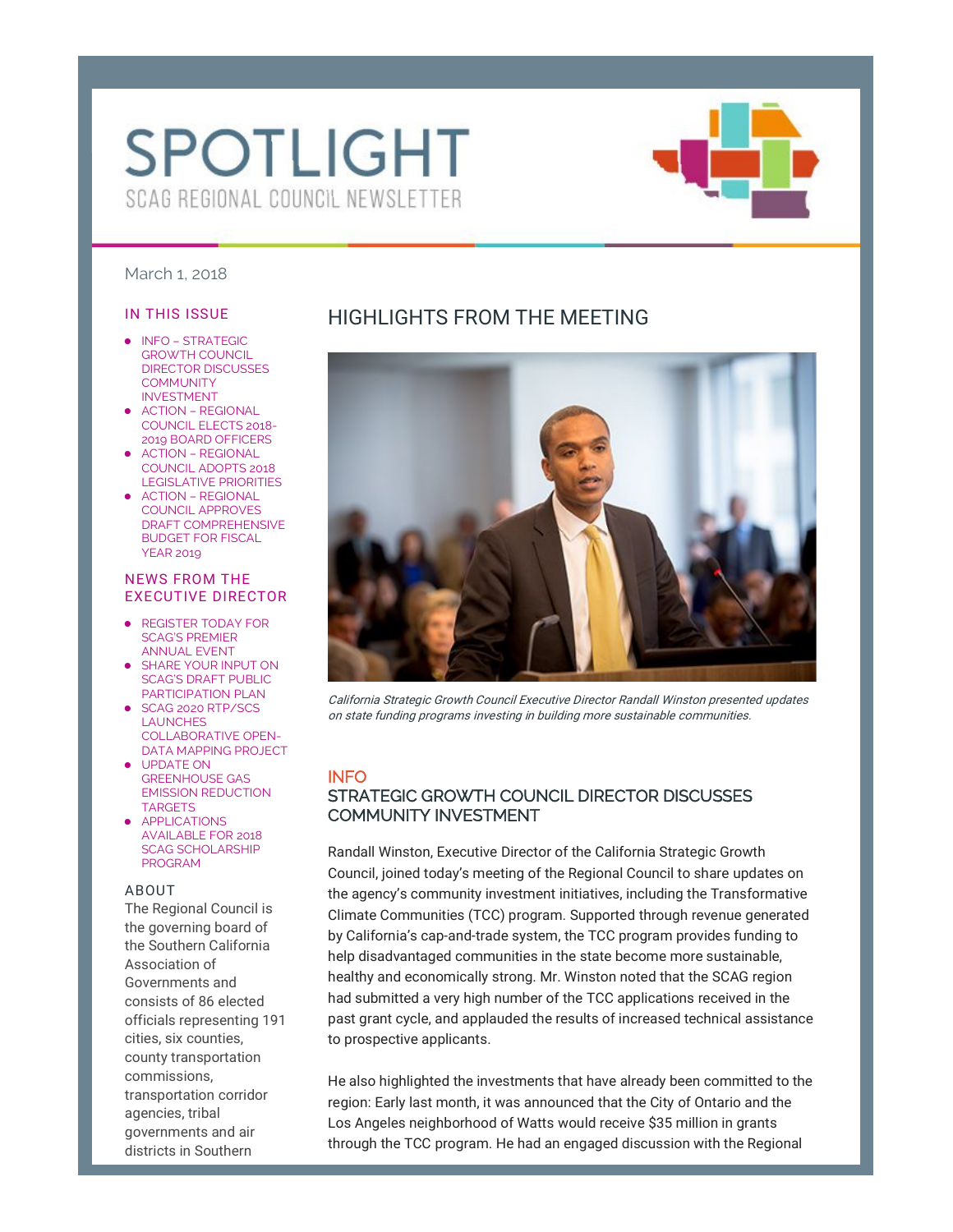# **SPOTLIGHT** SCAG REGIONAL COUNCIL NEWSLETTER



#### March 1, 2018

#### IN THIS ISSUE

- INFO STRATEGIC GROWTH COUNCIL DIRECTOR DISCUSSES **COMMUNITY** INVESTMENT
- ACTION REGIONAL COUNCIL ELECTS 2018- 2019 BOARD OFFICERS
- ACTION REGIONAL COUNCIL ADOPTS 2018 LEGISLATIVE PRIORITIES
- ACTION REGIONAL COUNCIL APPROVES DRAFT COMPREHENSIVE BUDGET FOR FISCAL YEAR 2019

#### NEWS FROM THE EXECUTIVE DIRECTOR

- REGISTER TODAY FOR SCAG'S PREMIER ANNUAL EVENT
- SHARE YOUR INPUT ON SCAG'S DRAFT PUBLIC PARTICIPATION PLAN
- SCAG 2020 RTP/SCS LAUNCHES COLLABORATIVE OPEN-DATA MAPPING PROJECT
- UPDATE ON GREENHOUSE GAS EMISSION REDUCTION TARGETS
- APPLICATIONS AVAILABLE FOR 2018 SCAG SCHOLARSHIP PROGRAM

#### ABOUT

The Regional Council is the governing board of the Southern California Association of Governments and consists of 86 elected officials representing 191 cities, six counties, county transportation commissions, transportation corridor agencies, tribal governments and air districts in Southern

# HIGHLIGHTS FROM THE MEETING



California Strategic Growth Council Executive Director Randall Winston presented updates on state funding programs investing in building more sustainable communities.

#### INFO

## STRATEGIC GROWTH COUNCIL DIRECTOR DISCUSSES COMMUNITY INVESTMENT

Randall Winston, Executive Director of the California Strategic Growth Council, joined today's meeting of the Regional Council to share updates on the agency's community investment initiatives, including the Transformative Climate Communities (TCC) program. Supported through revenue generated by California's cap-and-trade system, the TCC program provides funding to help disadvantaged communities in the state become more sustainable, healthy and economically strong. Mr. Winston noted that the SCAG region had submitted a very high number of the TCC applications received in the past grant cycle, and applauded the results of increased technical assistance to prospective applicants.

He also highlighted the investments that have already been committed to the region: Early last month, it was announced that the City of Ontario and the Los Angeles neighborhood of Watts would receive \$35 million in grants through the TCC program. He had an engaged discussion with the Regional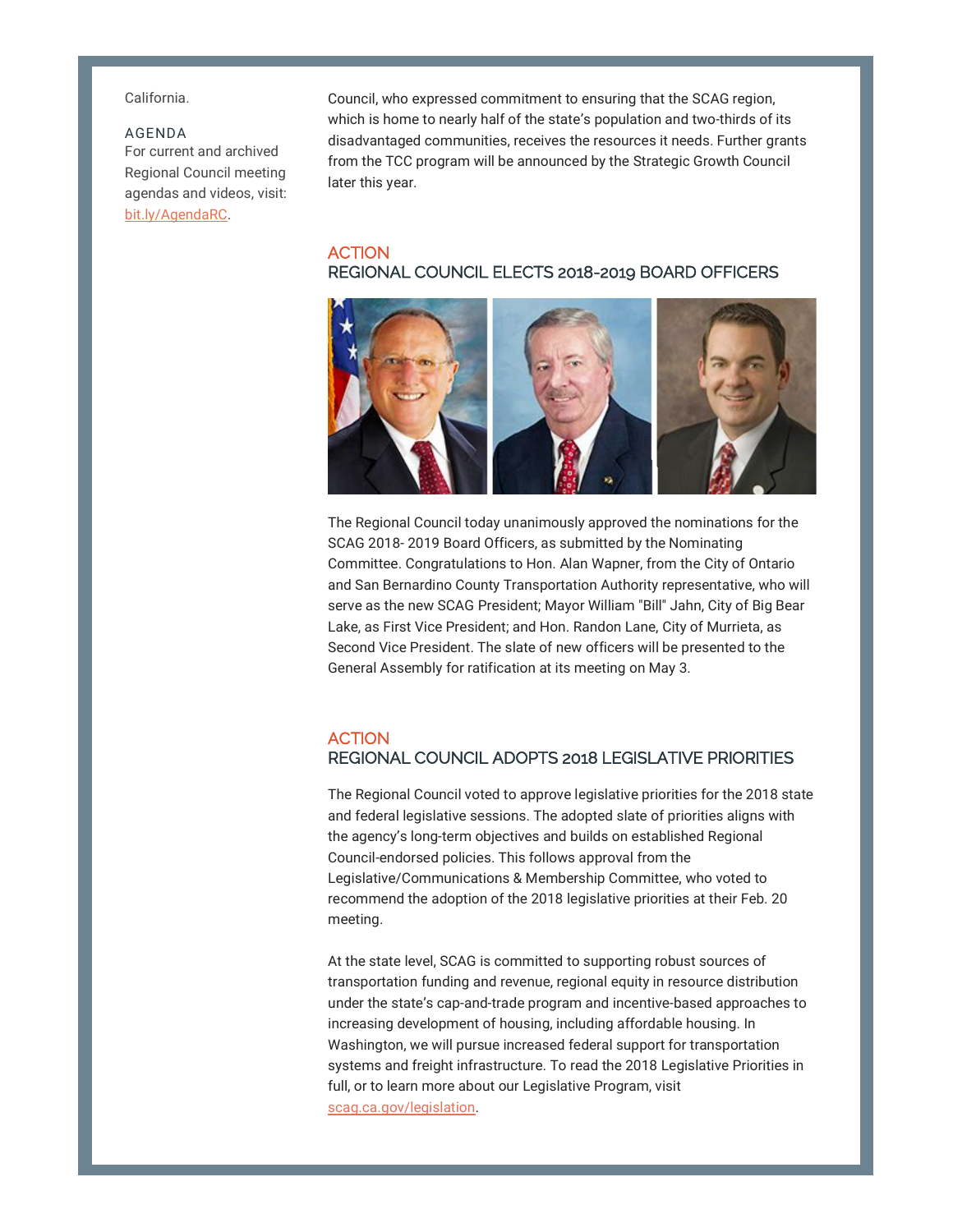California.

#### AGENDA

For current and archived Regional Council meeting agendas and videos, visit: bit.ly/AgendaRC.

Council, who expressed commitment to ensuring that the SCAG region, which is home to nearly half of the state's population and two-thirds of its disadvantaged communities, receives the resources it needs. Further grants from the TCC program will be announced by the Strategic Growth Council later this year.

## **ACTION** REGIONAL COUNCIL ELECTS 2018-2019 BOARD OFFICERS



The Regional Council today unanimously approved the nominations for the SCAG 2018- 2019 Board Officers, as submitted by the Nominating Committee. Congratulations to Hon. Alan Wapner, from the City of Ontario and San Bernardino County Transportation Authority representative, who will serve as the new SCAG President; Mayor William "Bill" Jahn, City of Big Bear Lake, as First Vice President; and Hon. Randon Lane, City of Murrieta, as Second Vice President. The slate of new officers will be presented to the General Assembly for ratification at its meeting on May 3.

## **ACTION** REGIONAL COUNCIL ADOPTS 2018 LEGISLATIVE PRIORITIES

The Regional Council voted to approve legislative priorities for the 2018 state and federal legislative sessions. The adopted slate of priorities aligns with the agency's long-term objectives and builds on established Regional Council-endorsed policies. This follows approval from the Legislative/Communications & Membership Committee, who voted to recommend the adoption of the 2018 legislative priorities at their Feb. 20 meeting.

At the state level, SCAG is committed to supporting robust sources of transportation funding and revenue, regional equity in resource distribution under the state's cap-and-trade program and incentive-based approaches to increasing development of housing, including affordable housing. In Washington, we will pursue increased federal support for transportation systems and freight infrastructure. To read the 2018 Legislative Priorities in full, or to learn more about our Legislative Program, visit scag.ca.gov/legislation.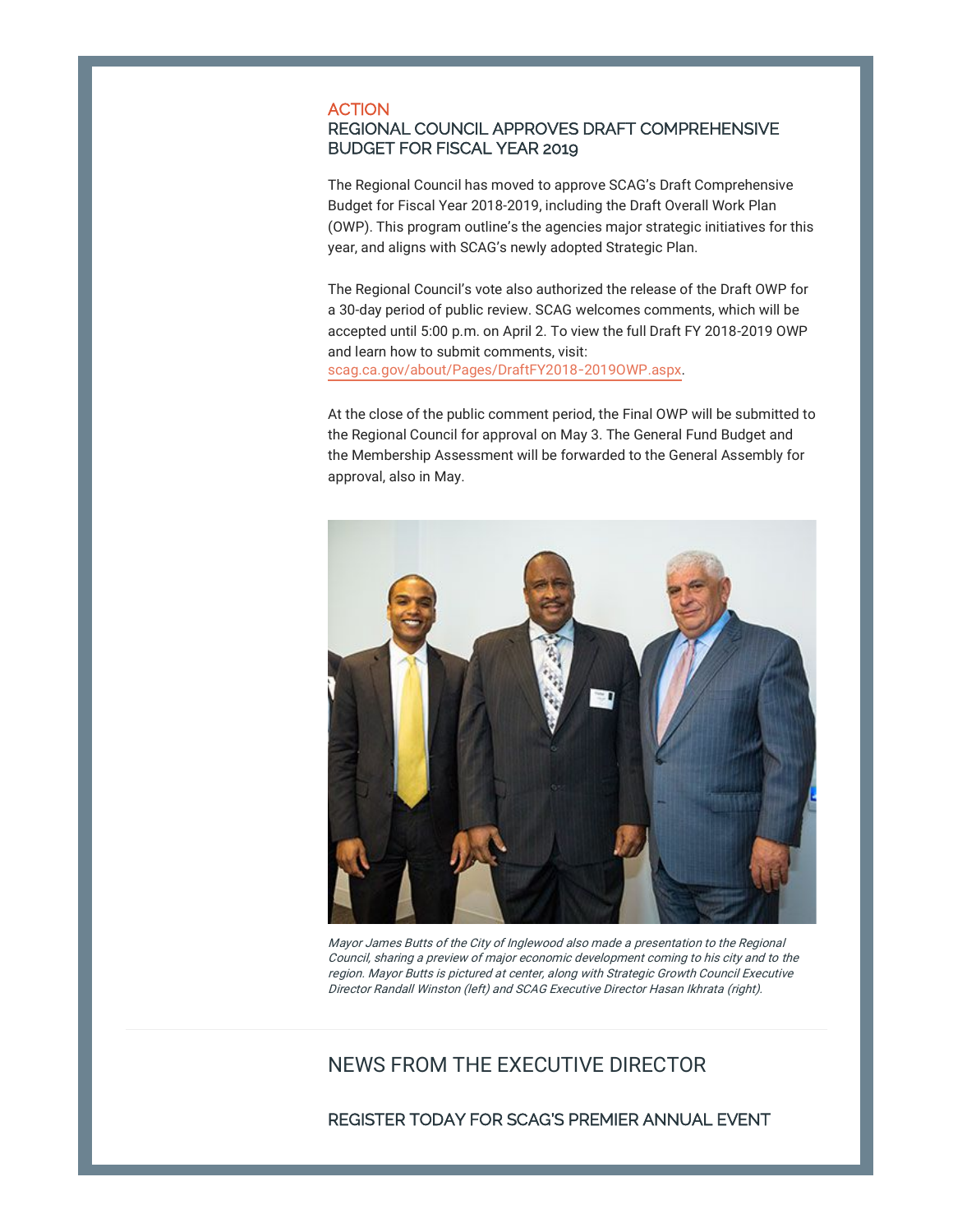#### ACTION

#### REGIONAL COUNCIL APPROVES DRAFT COMPREHENSIVE BUDGET FOR FISCAL YEAR 2019

The Regional Council has moved to approve SCAG's Draft Comprehensive Budget for Fiscal Year 2018-2019, including the Draft Overall Work Plan (OWP). This program outline's the agencies major strategic initiatives for this year, and aligns with SCAG's newly adopted Strategic Plan.

The Regional Council's vote also authorized the release of the Draft OWP for a 30-day period of public review. SCAG welcomes comments, which will be accepted until 5:00 p.m. on April 2. To view the full Draft FY 2018-2019 OWP and learn how to submit comments, visit: scag.ca.gov/about/Pages/DraftFY2018-2019OWP.aspx.

At the close of the public comment period, the Final OWP will be submitted to the Regional Council for approval on May 3. The General Fund Budget and the Membership Assessment will be forwarded to the General Assembly for approval, also in May.



Mayor James Butts of the City of Inglewood also made a presentation to the Regional Council, sharing a preview of major economic development coming to his city and to the region. Mayor Butts is pictured at center, along with Strategic Growth Council Executive Director Randall Winston (left) and SCAG Executive Director Hasan Ikhrata (right).

# NEWS FROM THE EXECUTIVE DIRECTOR

REGISTER TODAY FOR SCAG'S PREMIER ANNUAL EVENT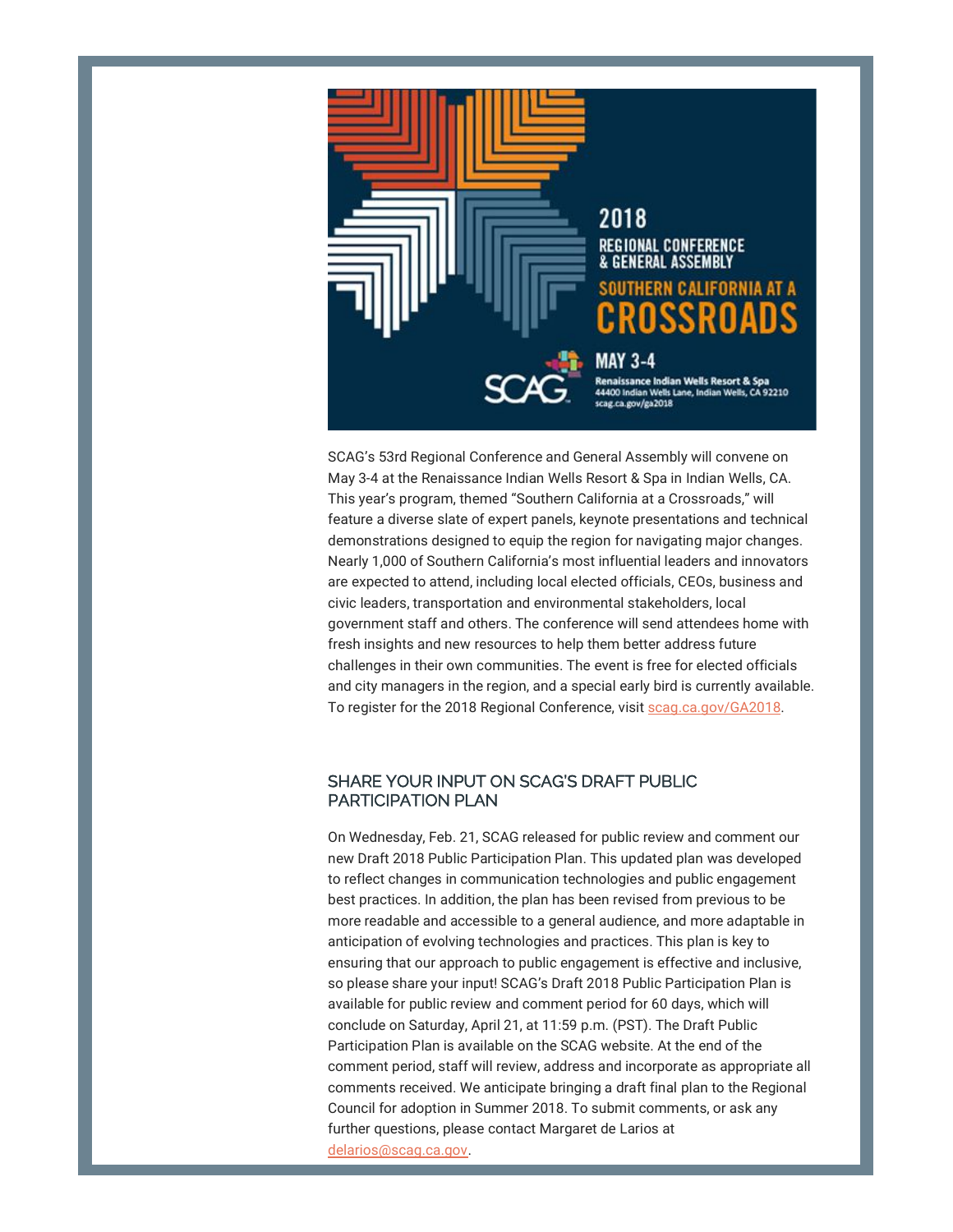

SCAG's 53rd Regional Conference and General Assembly will convene on May 3-4 at the Renaissance Indian Wells Resort & Spa in Indian Wells, CA. This year's program, themed "Southern California at a Crossroads," will feature a diverse slate of expert panels, keynote presentations and technical demonstrations designed to equip the region for navigating major changes. Nearly 1,000 of Southern California's most influential leaders and innovators are expected to attend, including local elected officials, CEOs, business and civic leaders, transportation and environmental stakeholders, local government staff and others. The conference will send attendees home with fresh insights and new resources to help them better address future challenges in their own communities. The event is free for elected officials and city managers in the region, and a special early bird is currently available. To register for the 2018 Regional Conference, visit scag.ca.gov/GA2018.

#### SHARE YOUR INPUT ON SCAG'S DRAFT PUBLIC PARTICIPATION PLAN

On Wednesday, Feb. 21, SCAG released for public review and comment our new Draft 2018 Public Participation Plan. This updated plan was developed to reflect changes in communication technologies and public engagement best practices. In addition, the plan has been revised from previous to be more readable and accessible to a general audience, and more adaptable in anticipation of evolving technologies and practices. This plan is key to ensuring that our approach to public engagement is effective and inclusive, so please share your input! SCAG's Draft 2018 Public Participation Plan is available for public review and comment period for 60 days, which will conclude on Saturday, April 21, at 11:59 p.m. (PST). The Draft Public Participation Plan is available on the SCAG website. At the end of the comment period, staff will review, address and incorporate as appropriate all comments received. We anticipate bringing a draft final plan to the Regional Council for adoption in Summer 2018. To submit comments, or ask any further questions, please contact Margaret de Larios at delarios@scag.ca.gov.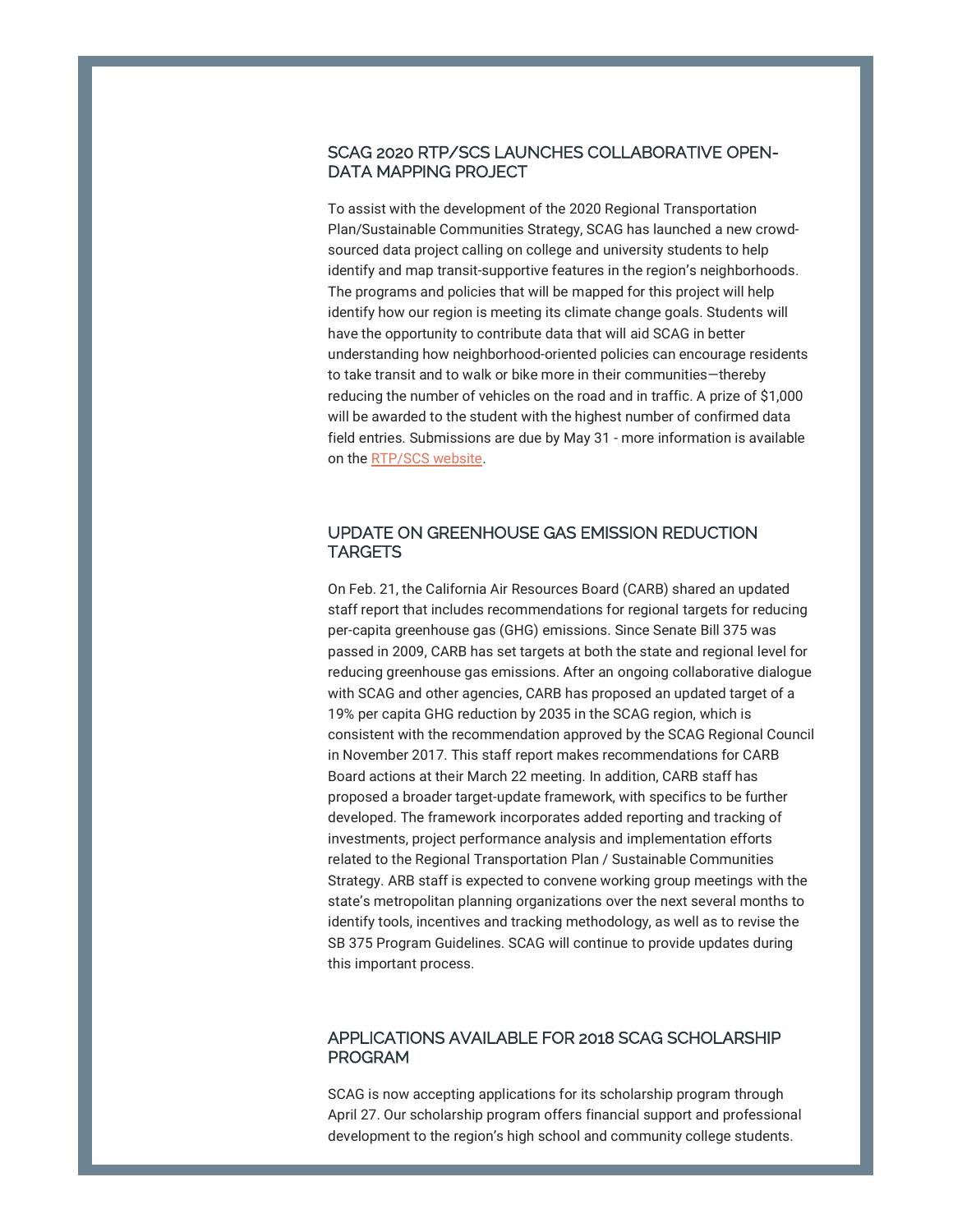#### SCAG 2020 RTP/SCS LAUNCHES COLLABORATIVE OPEN-DATA MAPPING PROJECT

To assist with the development of the 2020 Regional Transportation Plan/Sustainable Communities Strategy, SCAG has launched a new crowdsourced data project calling on college and university students to help identify and map transit-supportive features in the region's neighborhoods. The programs and policies that will be mapped for this project will help identify how our region is meeting its climate change goals. Students will have the opportunity to contribute data that will aid SCAG in better understanding how neighborhood-oriented policies can encourage residents to take transit and to walk or bike more in their communities—thereby reducing the number of vehicles on the road and in traffic. A prize of \$1,000 will be awarded to the student with the highest number of confirmed data field entries. Submissions are due by May 31 - more information is available on the RTP/SCS website.

#### UPDATE ON GREENHOUSE GAS EMISSION REDUCTION **TARGETS**

On Feb. 21, the California Air Resources Board (CARB) shared an updated staff report that includes recommendations for regional targets for reducing per-capita greenhouse gas (GHG) emissions. Since Senate Bill 375 was passed in 2009, CARB has set targets at both the state and regional level for reducing greenhouse gas emissions. After an ongoing collaborative dialogue with SCAG and other agencies, CARB has proposed an updated target of a 19% per capita GHG reduction by 2035 in the SCAG region, which is consistent with the recommendation approved by the SCAG Regional Council in November 2017. This staff report makes recommendations for CARB Board actions at their March 22 meeting. In addition, CARB staff has proposed a broader target-update framework, with specifics to be further developed. The framework incorporates added reporting and tracking of investments, project performance analysis and implementation efforts related to the Regional Transportation Plan / Sustainable Communities Strategy. ARB staff is expected to convene working group meetings with the state's metropolitan planning organizations over the next several months to identify tools, incentives and tracking methodology, as well as to revise the SB 375 Program Guidelines. SCAG will continue to provide updates during this important process.

#### APPLICATIONS AVAILABLE FOR 2018 SCAG SCHOLARSHIP PROGRAM

SCAG is now accepting applications for its scholarship program through April 27. Our scholarship program offers financial support and professional development to the region's high school and community college students.